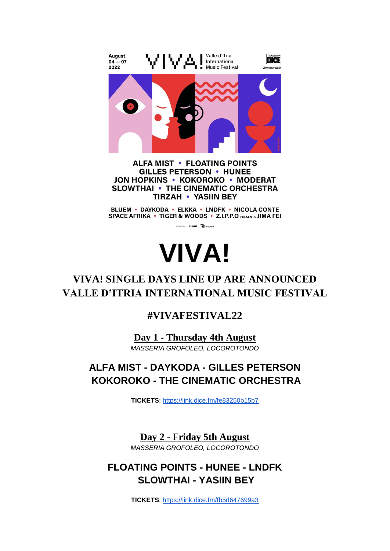

**ALFA MIST • FLOATING POINTS GILLES PETERSON • HUNEE JON HOPKINS • KOKOROKO • MODERAT SLOWTHAI • THE CINEMATIC ORCHESTRA TIRZAH • YASIIN BEY** 

BLUEM • DAYKODA • ELKKA • LNDFK • NICOLA CONTE SPACE AFRIKA • TIGER & WOODS • Z.I.P.P.O PRESENTS JIMA FEI



# **VIVA! SINGLE DAYS LINE UP ARE ANNOUNCED VALLE D'ITRIA INTERNATIONAL MUSIC FESTIVAL**

## **#VIVAFESTIVAL22**

**Day 1 - Thursday 4th August** *MASSERIA GROFOLEO, LOCOROTONDO*

# **ALFA MIST - DAYKODA - GILLES PETERSON KOKOROKO - THE CINEMATIC ORCHESTRA**

**TICKETS**[:](https://link.dice.fm/fe83250b15b7) <https://link.dice.fm/fe83250b15b7>

**Day 2 - Friday 5th August** *MASSERIA GROFOLEO, LOCOROTONDO*

# **FLOATING POINTS - HUNEE - LNDFK SLOWTHAI - YASIIN BEY**

**TICKETS**[:](https://link.dice.fm/fb5d647699a3) <https://link.dice.fm/fb5d647699a3>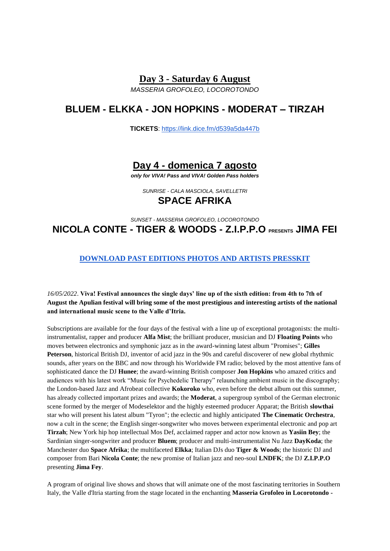#### **Day 3 - Saturday 6 August**

*MASSERIA GROFOLEO, LOCOROTONDO*

### **BLUEM - ELKKA - JON HOPKINS - MODERAT – TIRZAH**

**TICKETS**[:](https://link.dice.fm/d539a5da447b) <https://link.dice.fm/d539a5da447b>

### **Day 4 - domenica 7 agosto**

*only for VIVA! Pass and VIVA! Golden Pass holders*

*SUNRISE - CALA MASCIOLA, SAVELLETRI* **SPACE AFRIKA**

# *SUNSET - MASSERIA GROFOLEO, LOCOROTONDO* **NICOLA CONTE - TIGER & WOODS - Z.I.P.P.O PRESENTS JIMA FEI**

### **[DOWNLOAD PAST EDITIONS PHOTOS AND ARTISTS PRESSKIT](https://drive.google.com/drive/folders/1PJ_Jr_TPwUmrSwpbgpV5EnyMOk4g9Mwh)**

#### *16/05/2022*. **Viva! Festival announces the single days' line up of the sixth edition: from 4th to 7th of August the Apulian festival will bring some of the most prestigious and interesting artists of the national and international music scene to the Valle d'Itria.**

Subscriptions are available for the four days of the festival with a line up of exceptional protagonists: the multiinstrumentalist, rapper and producer **Alfa Mist**; the brilliant producer, musician and DJ **Floating Points** who moves between electronics and symphonic jazz as in the award-winning latest album "Promises"; **Gilles Peterson**, historical British DJ, inventor of acid jazz in the 90s and careful discoverer of new global rhythmic sounds, after years on the BBC and now through his Worldwide FM radio; beloved by the most attentive fans of sophisticated dance the DJ **Hunee**; the award-winning British composer **Jon Hopkins** who amazed critics and audiences with his latest work "Music for Psychedelic Therapy" relaunching ambient music in the discography; the London-based Jazz and Afrobeat collective **Kokoroko** who, even before the debut album out this summer, has already collected important prizes and awards; the **Moderat**, a supergroup symbol of the German electronic scene formed by the merger of Modeselektor and the highly esteemed producer Apparat; the British **slowthai**  star who will present his latest album "Tyron"; the eclectic and highly anticipated **The Cinematic Orchestra**, now a cult in the scene; the English singer-songwriter who moves between experimental electronic and pop art **Tirzah**; New York hip hop intellectual Mos Def, acclaimed rapper and actor now known as **Yasiin Bey**; the Sardinian singer-songwriter and producer **Bluem**; producer and multi-instrumentalist Nu Jazz **DayKoda**; the Manchester duo **Space Afrika**; the multifaceted **Elkka**; Italian DJs duo **Tiger & Woods**; the historic DJ and composer from Bari **Nicola Conte**; the new promise of Italian jazz and neo-soul **LNDFK**; the DJ **Z.I.P.P.O** presenting **Jima Fey**.

A program of original live shows and shows that will animate one of the most fascinating territories in Southern Italy, the Valle d'Itria starting from the stage located in the enchanting **Masseria Grofoleo in Locorotondo -**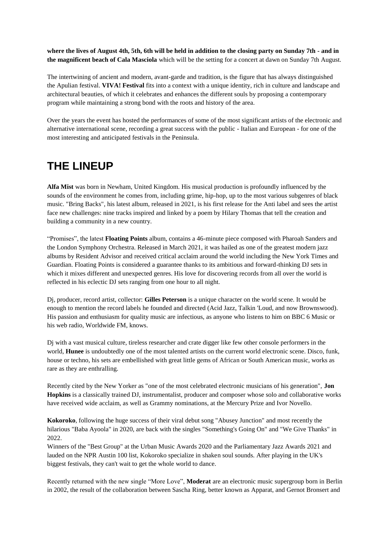**where the lives of August 4th, 5th, 6th will be held in addition to the closing party on Sunday 7th - and in the magnificent beach of Cala Masciola** which will be the setting for a concert at dawn on Sunday 7th August.

The intertwining of ancient and modern, avant-garde and tradition, is the figure that has always distinguished the Apulian festival. **VIVA! Festival** fits into a context with a unique identity, rich in culture and landscape and architectural beauties, of which it celebrates and enhances the different souls by proposing a contemporary program while maintaining a strong bond with the roots and history of the area.

Over the years the event has hosted the performances of some of the most significant artists of the electronic and alternative international scene, recording a great success with the public - Italian and European - for one of the most interesting and anticipated festivals in the Peninsula.

# **THE LINEUP**

**Alfa Mist** was born in Newham, United Kingdom. His musical production is profoundly influenced by the sounds of the environment he comes from, including grime, hip-hop, up to the most various subgenres of black music. "Bring Backs", his latest album, released in 2021, is his first release for the Anti label and sees the artist face new challenges: nine tracks inspired and linked by a poem by Hilary Thomas that tell the creation and building a community in a new country.

"Promises", the latest **Floating Points** album, contains a 46-minute piece composed with Pharoah Sanders and the London Symphony Orchestra. Released in March 2021, it was hailed as one of the greatest modern jazz albums by Resident Advisor and received critical acclaim around the world including the New York Times and Guardian. Floating Points is considered a guarantee thanks to its ambitious and forward-thinking DJ sets in which it mixes different and unexpected genres. His love for discovering records from all over the world is reflected in his eclectic DJ sets ranging from one hour to all night.

Dj, producer, record artist, collector: **Gilles Peterson** is a unique character on the world scene. It would be enough to mention the record labels he founded and directed (Acid Jazz, Talkin 'Loud, and now Brownswood). His passion and enthusiasm for quality music are infectious, as anyone who listens to him on BBC 6 Music or his web radio, Worldwide FM, knows.

Dj with a vast musical culture, tireless researcher and crate digger like few other console performers in the world, **Hunee** is undoubtedly one of the most talented artists on the current world electronic scene. Disco, funk, house or techno, his sets are embellished with great little gems of African or South American music, works as rare as they are enthralling.

Recently cited by the New Yorker as "one of the most celebrated electronic musicians of his generation", **Jon Hopkins** is a classically trained DJ, instrumentalist, producer and composer whose solo and collaborative works have received wide acclaim, as well as Grammy nominations, at the Mercury Prize and Ivor Novello.

**Kokoroko**, following the huge success of their viral debut song "Abusey Junction" and most recently the hilarious "Baba Ayoola" in 2020, are back with the singles "Something's Going On" and "We Give Thanks" in 2022.

Winners of the "Best Group" at the Urban Music Awards 2020 and the Parliamentary Jazz Awards 2021 and lauded on the NPR Austin 100 list, Kokoroko specialize in shaken soul sounds. After playing in the UK's biggest festivals, they can't wait to get the whole world to dance.

Recently returned with the new single "More Love", **Moderat** are an electronic music supergroup born in Berlin in 2002, the result of the collaboration between Sascha Ring, better known as Apparat, and Gernot Bronsert and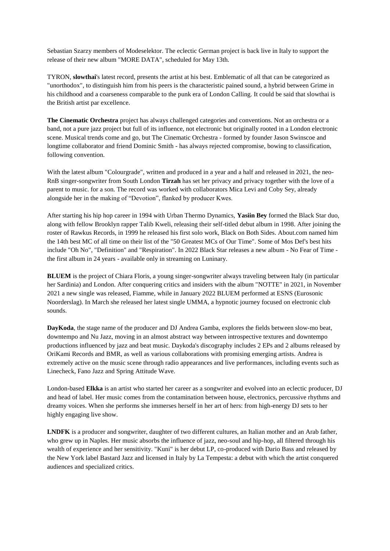Sebastian Szarzy members of Modeselektor. The eclectic German project is back live in Italy to support the release of their new album "MORE DATA", scheduled for May 13th.

TYRON, **slowthai**'s latest record, presents the artist at his best. Emblematic of all that can be categorized as "unorthodox", to distinguish him from his peers is the characteristic pained sound, a hybrid between Grime in his childhood and a coarseness comparable to the punk era of London Calling. It could be said that slowthai is the British artist par excellence.

**The Cinematic Orchestra** project has always challenged categories and conventions. Not an orchestra or a band, not a pure jazz project but full of its influence, not electronic but originally rooted in a London electronic scene. Musical trends come and go, but The Cinematic Orchestra - formed by founder Jason Swinscoe and longtime collaborator and friend Dominic Smith - has always rejected compromise, bowing to classification, following convention.

With the latest album "Colourgrade", written and produced in a year and a half and released in 2021, the neo-RnB singer-songwriter from South London **Tirzah** has set her privacy and privacy together with the love of a parent to music. for a son. The record was worked with collaborators Mica Levi and Coby Sey, already alongside her in the making of "Devotion", flanked by producer Kwes.

After starting his hip hop career in 1994 with Urban Thermo Dynamics, **Yasiin Bey** formed the Black Star duo, along with fellow Brooklyn rapper Talib Kweli, releasing their self-titled debut album in 1998. After joining the roster of Rawkus Records, in 1999 he released his first solo work, Black on Both Sides. About.com named him the 14th best MC of all time on their list of the "50 Greatest MCs of Our Time". Some of Mos Def's best hits include "Oh No", "Definition" and "Respiration". In 2022 Black Star releases a new album - No Fear of Time the first album in 24 years - available only in streaming on Luninary.

**BLUEM** is the project of Chiara Floris, a young singer-songwriter always traveling between Italy (in particular her Sardinia) and London. After conquering critics and insiders with the album "NOTTE" in 2021, in November 2021 a new single was released, Fiamme, while in January 2022 BLUEM performed at ESNS (Eurosonic Noorderslag). In March she released her latest single UMMA, a hypnotic journey focused on electronic club sounds.

**DayKoda**, the stage name of the producer and DJ Andrea Gamba, explores the fields between slow-mo beat, downtempo and Nu Jazz, moving in an almost abstract way between introspective textures and downtempo productions influenced by jazz and beat music. Daykoda's discography includes 2 EPs and 2 albums released by OriKami Records and BMR, as well as various collaborations with promising emerging artists. Andrea is extremely active on the music scene through radio appearances and live performances, including events such as Linecheck, Fano Jazz and Spring Attitude Wave.

London-based **Elkka** is an artist who started her career as a songwriter and evolved into an eclectic producer, DJ and head of label. Her music comes from the contamination between house, electronics, percussive rhythms and dreamy voices. When she performs she immerses herself in her art of hers: from high-energy DJ sets to her highly engaging live show.

**LNDFK** is a producer and songwriter, daughter of two different cultures, an Italian mother and an Arab father, who grew up in Naples. Her music absorbs the influence of jazz, neo-soul and hip-hop, all filtered through his wealth of experience and her sensitivity. "Kuni" is her debut LP, co-produced with Dario Bass and released by the New York label Bastard Jazz and licensed in Italy by La Tempesta: a debut with which the artist conquered audiences and specialized critics.